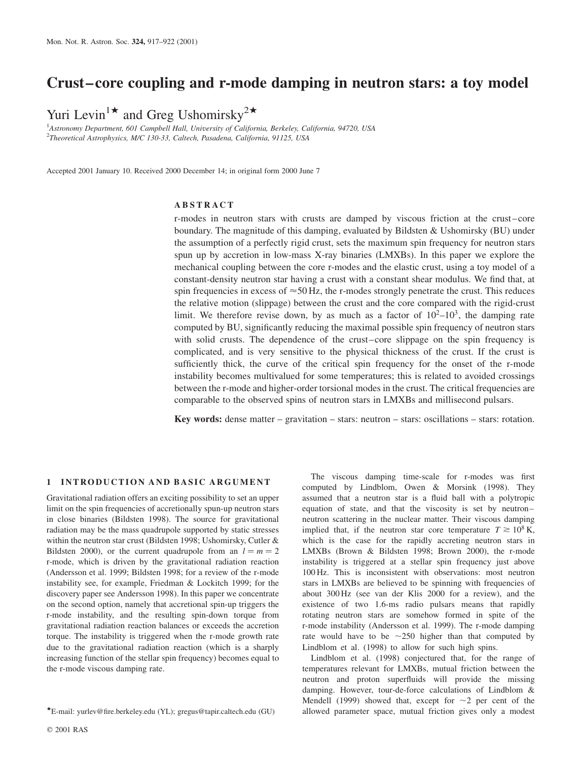# Crust–core coupling and r-mode damping in neutron stars: a toy model

Yuri Levin<sup>1\*</sup> and Greg Ushomirsky<sup>2\*</sup>

<sup>1</sup>Astronomy Department, 601 Campbell Hall, University of California, Berkeley, California, 94720, USA <sup>2</sup>Theoretical Astrophysics, M/C 130-33, Caltech, Pasadena, California, 91125, USA

Accepted 2001 January 10. Received 2000 December 14; in original form 2000 June 7

# ABSTRACT

r-modes in neutron stars with crusts are damped by viscous friction at the crust–core boundary. The magnitude of this damping, evaluated by Bildsten & Ushomirsky (BU) under the assumption of a perfectly rigid crust, sets the maximum spin frequency for neutron stars spun up by accretion in low-mass X-ray binaries (LMXBs). In this paper we explore the mechanical coupling between the core r-modes and the elastic crust, using a toy model of a constant-density neutron star having a crust with a constant shear modulus. We find that, at spin frequencies in excess of  $\approx$  50 Hz, the r-modes strongly penetrate the crust. This reduces the relative motion (slippage) between the crust and the core compared with the rigid-crust limit. We therefore revise down, by as much as a factor of  $10^2-10^3$ , the damping rate computed by BU, significantly reducing the maximal possible spin frequency of neutron stars with solid crusts. The dependence of the crust–core slippage on the spin frequency is complicated, and is very sensitive to the physical thickness of the crust. If the crust is sufficiently thick, the curve of the critical spin frequency for the onset of the r-mode instability becomes multivalued for some temperatures; this is related to avoided crossings between the r-mode and higher-order torsional modes in the crust. The critical frequencies are comparable to the observed spins of neutron stars in LMXBs and millisecond pulsars.

Key words: dense matter – gravitation – stars: neutron – stars: oscillations – stars: rotation.

# 1 INTRODUCTION AND BASIC ARGUMENT

Gravitational radiation offers an exciting possibility to set an upper limit on the spin frequencies of accretionally spun-up neutron stars in close binaries (Bildsten 1998). The source for gravitational radiation may be the mass quadrupole supported by static stresses within the neutron star crust (Bildsten 1998; Ushomirsky, Cutler & Bildsten 2000), or the current quadrupole from an  $l = m = 2$ r-mode, which is driven by the gravitational radiation reaction (Andersson et al. 1999; Bildsten 1998; for a review of the r-mode instability see, for example, Friedman & Lockitch 1999; for the discovery paper see Andersson 1998). In this paper we concentrate on the second option, namely that accretional spin-up triggers the r-mode instability, and the resulting spin-down torque from gravitational radiation reaction balances or exceeds the accretion torque. The instability is triggered when the r-mode growth rate due to the gravitational radiation reaction (which is a sharply increasing function of the stellar spin frequency) becomes equal to the r-mode viscous damping rate.

assumed that a neutron star is a fluid ball with a polytropic equation of state, and that the viscosity is set by neutron– neutron scattering in the nuclear matter. Their viscous damping implied that, if the neutron star core temperature  $T \approx 10^8$  K, which is the case for the rapidly accreting neutron stars in LMXBs (Brown & Bildsten 1998; Brown 2000), the r-mode instability is triggered at a stellar spin frequency just above 100 Hz. This is inconsistent with observations: most neutron stars in LMXBs are believed to be spinning with frequencies of about 300 Hz (see van der Klis 2000 for a review), and the existence of two 1.6-ms radio pulsars means that rapidly rotating neutron stars are somehow formed in spite of the r-mode instability (Andersson et al. 1999). The r-mode damping rate would have to be  $\sim$ 250 higher than that computed by Lindblom et al. (1998) to allow for such high spins. Lindblom et al. (1998) conjectured that, for the range of

The viscous damping time-scale for r-modes was first computed by Lindblom, Owen & Morsink (1998). They

temperatures relevant for LMXBs, mutual friction between the neutron and proton superfluids will provide the missing damping. However, tour-de-force calculations of Lindblom & Mendell (1999) showed that, except for  $\sim$ 2 per cent of the \*E-mail: yurlev@fire.berkeley.edu (YL); gregus@tapir.caltech.edu (GU) allowed parameter space, mutual friction gives only a modest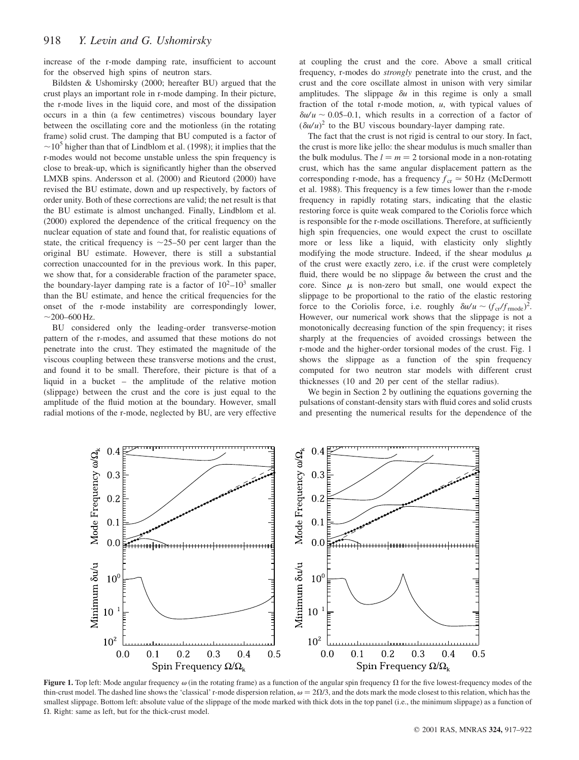increase of the r-mode damping rate, insufficient to account for the observed high spins of neutron stars.

Bildsten & Ushomirsky (2000; hereafter BU) argued that the crust plays an important role in r-mode damping. In their picture, the r-mode lives in the liquid core, and most of the dissipation occurs in a thin (a few centimetres) viscous boundary layer between the oscillating core and the motionless (in the rotating frame) solid crust. The damping that BU computed is a factor of  $\sim$ 10<sup>5</sup> higher than that of Lindblom et al. (1998); it implies that the r-modes would not become unstable unless the spin frequency is close to break-up, which is significantly higher than the observed LMXB spins. Andersson et al. (2000) and Rieutord (2000) have revised the BU estimate, down and up respectively, by factors of order unity. Both of these corrections are valid; the net result is that the BU estimate is almost unchanged. Finally, Lindblom et al. (2000) explored the dependence of the critical frequency on the nuclear equation of state and found that, for realistic equations of state, the critical frequency is  $\sim$ 25–50 per cent larger than the original BU estimate. However, there is still a substantial correction unaccounted for in the previous work. In this paper, we show that, for a considerable fraction of the parameter space, the boundary-layer damping rate is a factor of  $10^2-10^3$  smaller than the BU estimate, and hence the critical frequencies for the onset of the r-mode instability are correspondingly lower,  $\sim$ 200–600 Hz.

BU considered only the leading-order transverse-motion pattern of the r-modes, and assumed that these motions do not penetrate into the crust. They estimated the magnitude of the viscous coupling between these transverse motions and the crust, and found it to be small. Therefore, their picture is that of a liquid in a bucket – the amplitude of the relative motion (slippage) between the crust and the core is just equal to the amplitude of the fluid motion at the boundary. However, small radial motions of the r-mode, neglected by BU, are very effective at coupling the crust and the core. Above a small critical frequency, r-modes do strongly penetrate into the crust, and the crust and the core oscillate almost in unison with very similar amplitudes. The slippage  $\delta u$  in this regime is only a small fraction of the total r-mode motion,  $u$ , with typical values of  $\delta u/u \sim 0.05$ –0.1, which results in a correction of a factor of  $(\delta u/u)^2$  to the BU viscous boundary-layer damping rate.

The fact that the crust is not rigid is central to our story. In fact, the crust is more like jello: the shear modulus is much smaller than the bulk modulus. The  $l = m = 2$  torsional mode in a non-rotating crust, which has the same angular displacement pattern as the corresponding r-mode, has a frequency  $f_{cr} \approx 50$  Hz (McDermott et al. 1988). This frequency is a few times lower than the r-mode frequency in rapidly rotating stars, indicating that the elastic restoring force is quite weak compared to the Coriolis force which is responsible for the r-mode oscillations. Therefore, at sufficiently high spin frequencies, one would expect the crust to oscillate more or less like a liquid, with elasticity only slightly modifying the mode structure. Indeed, if the shear modulus  $\mu$ of the crust were exactly zero, i.e. if the crust were completely fluid, there would be no slippage  $\delta u$  between the crust and the core. Since  $\mu$  is non-zero but small, one would expect the slippage to be proportional to the ratio of the elastic restoring force to the Coriolis force, i.e. roughly  $\delta u/u \sim (f_{cr}/f_{\rm mode})^2$ . However, our numerical work shows that the slippage is not a monotonically decreasing function of the spin frequency; it rises sharply at the frequencies of avoided crossings between the r-mode and the higher-order torsional modes of the crust. Fig. 1 shows the slippage as a function of the spin frequency computed for two neutron star models with different crust thicknesses (10 and 20 per cent of the stellar radius).

We begin in Section 2 by outlining the equations governing the pulsations of constant-density stars with fluid cores and solid crusts and presenting the numerical results for the dependence of the



Figure 1. Top left: Mode angular frequency  $\omega$  (in the rotating frame) as a function of the angular spin frequency  $\Omega$  for the five lowest-frequency modes of the thin-crust model. The dashed line shows the 'classical' r-mode dispersion relation,  $\omega = 2\Omega/3$ , and the dots mark the mode closest to this relation, which has the smallest slippage. Bottom left: absolute value of the slippage of the mode marked with thick dots in the top panel (i.e., the minimum slippage) as a function of  $\Omega$ . Right: same as left, but for the thick-crust model.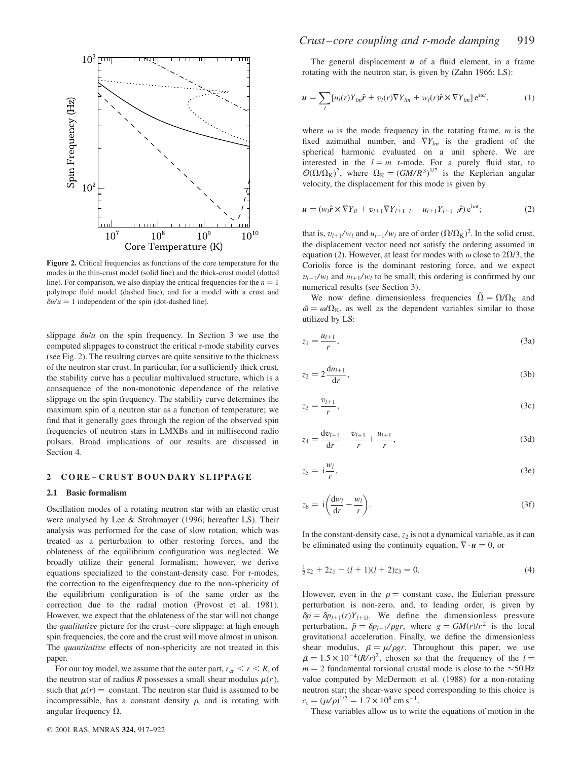

Figure 2. Critical frequencies as functions of the core temperature for the modes in the thin-crust model (solid line) and the thick-crust model (dotted line). For comparison, we also display the critical frequencies for the  $n = 1$ polytrope fluid model (dashed line), and for a model with a crust and  $\delta u/u = 1$  independent of the spin (dot-dashed line).

slippage  $\delta u/u$  on the spin frequency. In Section 3 we use the computed slippages to construct the critical r-mode stability curves (see Fig. 2). The resulting curves are quite sensitive to the thickness of the neutron star crust. In particular, for a sufficiently thick crust, the stability curve has a peculiar multivalued structure, which is a consequence of the non-monotonic dependence of the relative slippage on the spin frequency. The stability curve determines the maximum spin of a neutron star as a function of temperature; we find that it generally goes through the region of the observed spin frequencies of neutron stars in LMXBs and in millisecond radio pulsars. Broad implications of our results are discussed in Section 4.

## 2 CORE – CRUST BOUNDARY SLIPPAGE

#### 2.1 Basic formalism

Oscillation modes of a rotating neutron star with an elastic crust were analysed by Lee & Strohmayer (1996; hereafter LS). Their analysis was performed for the case of slow rotation, which was treated as a perturbation to other restoring forces, and the oblateness of the equilibrium configuration was neglected. We broadly utilize their general formalism; however, we derive equations specialized to the constant-density case. For r-modes, the correction to the eigenfrequency due to the non-sphericity of the equilibrium configuration is of the same order as the correction due to the radial motion (Provost et al. 1981). However, we expect that the oblateness of the star will not change the qualitative picture for the crust–core slippage: at high enough spin frequencies, the core and the crust will move almost in unison. The *quantitative* effects of non-sphericity are not treated in this paper.

For our toy model, we assume that the outer part,  $r_{cr} < r < R$ , of the neutron star of radius R possesses a small shear modulus  $\mu(r)$ , such that  $\mu(r) =$  constant. The neutron star fluid is assumed to be incompressible, has a constant density  $\rho$ , and is rotating with angular frequency  $\Omega$ .

The general displacement  $u$  of a fluid element, in a frame rotating with the neutron star, is given by (Zahn 1966; LS):

$$
\mathbf{u} = \sum_{l} [u_l(r)Y_{lm}\hat{\mathbf{r}} + v_l(r)\nabla Y_{lm} + w_l(r)\hat{\mathbf{r}} \times \nabla Y_{lm}] e^{i\omega t}, \tag{1}
$$

where  $\omega$  is the mode frequency in the rotating frame, m is the fixed azimuthal number, and  $\nabla Y_{lm}$  is the gradient of the spherical harmonic evaluated on a unit sphere. We are interested in the  $l = m$  r-mode. For a purely fluid star, to  $\mathcal{O}(\Omega/\Omega_K)^2$ , where  $\Omega_K = (GM/R^3)^{1/2}$  is the Keplerian angular velocity, the displacement for this mode is given by

$$
\mathbf{u} = (w_l \hat{\mathbf{r}} \times \nabla Y_{ll} + v_{l+1} \nabla Y_{l+1} + u_{l+1} Y_{l+1} \ \hat{\mathbf{r}}) e^{i\omega t};
$$
(2)

that is,  $v_{l+1}/w_l$  and  $u_{l+1}/w_l$  are of order  $(\Omega/\Omega_K)^2$ . In the solid crust, the displacement vector need not satisfy the ordering assumed in equation (2). However, at least for modes with  $\omega$  close to 2 $\Omega/3$ , the Coriolis force is the dominant restoring force, and we expect  $v_{l+1}/w_l$  and  $u_{l+1}/w_l$  to be small; this ordering is confirmed by our numerical results (see Section 3).

We now define dimensionless frequencies  $\tilde{\Omega} = \Omega/\Omega_K$  and  $\tilde{\omega} = \omega/\Omega_K$ , as well as the dependent variables similar to those utilized by LS:

$$
z_1 = \frac{u_{l+1}}{r},\tag{3a}
$$

$$
z_2 = 2\frac{\mathrm{d}u_{l+1}}{\mathrm{d}r},\tag{3b}
$$

$$
z_3 = \frac{v_{l+1}}{r},\tag{3c}
$$

$$
z_4 = \frac{\mathrm{d}v_{l+1}}{\mathrm{d}r} - \frac{v_{l+1}}{r} + \frac{u_{l+1}}{r},\tag{3d}
$$

$$
z_5 = \mathbf{i}\frac{w_l}{r},\tag{3e}
$$

$$
z_6 = i \left( \frac{\mathrm{d}w_l}{\mathrm{d}r} - \frac{w_l}{r} \right). \tag{3f}
$$

In the constant-density case,  $z_2$  is not a dynamical variable, as it can be eliminated using the continuity equation,  $\nabla \cdot \mathbf{u} = 0$ , or

$$
\frac{1}{2}z_2 + 2z_1 - (l+1)(l+2)z_3 = 0.
$$
 (4)

However, even in the  $\rho$  = constant case, the Eulerian pressure perturbation is non-zero, and, to leading order, is given by  $\delta p = \delta p_{l+1}(r)Y_{l+1l}$ . We define the dimensionless pressure perturbation,  $\tilde{p} = \delta p_{l+1}/\rho gr$ , where  $g = GM(r)/r^2$  is the local gravitational acceleration. Finally, we define the dimensionless shear modulus,  $\tilde{\mu} = \mu/\rho gr$ . Throughout this paper, we use  $\tilde{\mu} = 1.5 \times 10^{-4} (R/r)^2$ , chosen so that the frequency of the  $l =$  $m = 2$  fundamental torsional crustal mode is close to the  $\approx 50$  Hz value computed by McDermott et al. (1988) for a non-rotating neutron star; the shear-wave speed corresponding to this choice is  $c_t = (\mu/\rho)^{1/2} = 1.7 \times 10^8 \text{ cm s}^{-1}.$ 

These variables allow us to write the equations of motion in the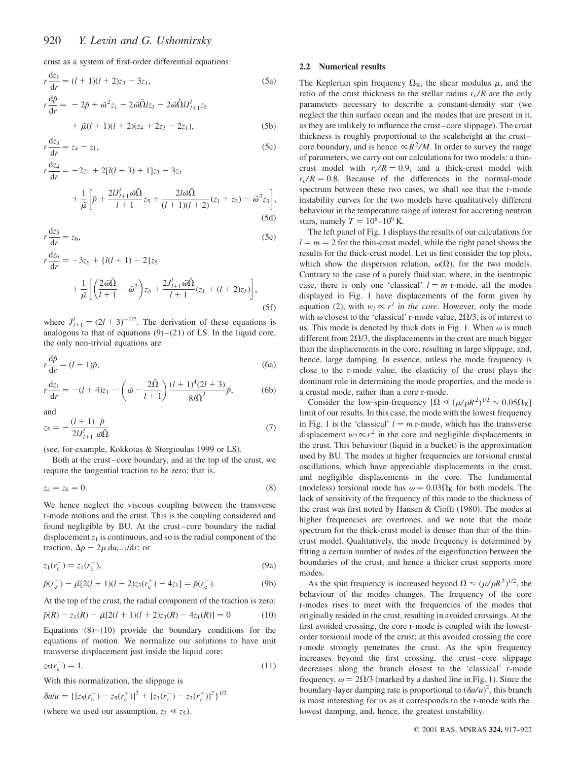crust as a system of first-order differential equations:

$$
r\frac{dz_1}{dr} = (l+1)(l+2)z_3 - 3z_1,
$$
\n(5a)  
\n
$$
r\frac{d\tilde{p}}{dr} = -2\tilde{p} + \tilde{\omega}^2 z_1 - 2\tilde{\omega}\tilde{\Omega}lz_3 - 2\tilde{\omega}\tilde{\Omega}lJ'_{l+1}z_5
$$
\n
$$
+ \tilde{\mu}(l+1)(l+2)(z_4 + 2z_3 - 2z_1),
$$
\n(5b)

$$
r\frac{dz_3}{dr} = z_4 - z_1,\t\t(5c)
$$

$$
r\frac{dz_4}{dr} = -2z_1 + 2[l(l+3) + 1]z_3 - 3z_4
$$
  
+ 
$$
\frac{1}{\tilde{\mu}} \left[ \tilde{p} + \frac{2lJ_{l+1}^l \tilde{\omega} \tilde{\Omega}}{l+1} z_5 + \frac{2l \tilde{\omega} \tilde{\Omega}}{(l+1)(l+2)} (z_1 + z_3) - \tilde{\omega}^2 z_3 \right],
$$
  
(5d)

$$
r\frac{\mathrm{d}z_5}{\mathrm{d}r} = z_6,\tag{5e}
$$

$$
r\frac{dz_6}{dr} = -3z_6 + \{l(l+1) - 2\}z_5
$$
  
+ 
$$
\frac{1}{\tilde{\mu}} \left[ \left( \frac{2\tilde{\omega}\tilde{\Omega}}{l+1} - \tilde{\omega}^2 \right) z_5 + \frac{2J'_{l+1}\tilde{\omega}\tilde{\Omega}}{l+1} (z_1 + (l+2)z_3) \right],
$$
(5f)

where  $J_{l+1}^l = (2l + 3)^{-1/2}$ . The derivation of these equations is analogous to that of equations  $(9)$ – $(21)$  of LS. In the liquid core, the only non-trivial equations are

$$
r\frac{\mathrm{d}\tilde{p}}{\mathrm{d}r} = (l-1)\tilde{p},\tag{6a}
$$

$$
r\frac{dz_1}{dr} = -(l+4)z_1 - \left(\tilde{\omega} - \frac{2\tilde{\Omega}}{l+1}\right) \frac{(l+1)^4 (2l+3)}{8l\tilde{\Omega}^3} \tilde{p},\tag{6b}
$$

and

$$
z_5 = -\frac{(l+1)}{2lJ'_{l+1}}\frac{\tilde{p}}{\tilde{\omega}\tilde{\Omega}}\tag{7}
$$

(see, for example, Kokkotas & Stergioulas 1999 or LS).

Both at the crust–core boundary, and at the top of the crust, we require the tangential traction to be zero; that is,

$$
z_4 = z_6 = 0. \t\t(8)
$$

We hence neglect the viscous coupling between the transverse r-mode motions and the crust. This is the coupling considered and found negligible by BU. At the crust–core boundary the radial displacement  $z_1$  is continuous, and so is the radial component of the traction,  $\Delta p - 2\mu \, du_{l+1}/dr$ ; or

$$
z_1(r_c^-) = z_1(r_c^+),
$$
\n(9a)

$$
\tilde{p}(r_c^+) - \tilde{\mu}[2(l+1)(l+2)z_3(r_c^+) - 4z_1] = \tilde{p}(r_c^-). \tag{9b}
$$

At the top of the crust, the radial component of the traction is zero:

$$
\tilde{p}(R) - z_1(R) - \tilde{\mu}[2(l+1)(l+2)z_3(R) - 4z_1(R)] = 0 \tag{10}
$$

Equations  $(8)$ – $(10)$  provide the boundary conditions for the equations of motion. We normalize our solutions to have unit transverse displacement just inside the liquid core:

$$
z_5(r_{\rm c}^-) = 1.\t(11)
$$

With this normalization, the slippage is

$$
\delta u/u = \{ [z_5(r_c^-) - z_5(r_c^+)]^2 + [z_3(r_c^-) - z_3(r_c^+)]^2 \}^{1/2}
$$
  
(where we used our assumption,  $z_3 \ll z_5$ ).

## 2.2 Numerical results

The Keplerian spin frequency  $\Omega_K$ , the shear modulus  $\mu$ , and the ratio of the crust thickness to the stellar radius  $r_c/R$  are the only parameters necessary to describe a constant-density star (we neglect the thin surface ocean and the modes that are present in it, as they are unlikely to influence the crust–core slippage). The crust thickness is roughly proportional to the scaleheight at the crust– core boundary, and is hence  $\propto R^2/M$ . In order to survey the range of parameters, we carry out our calculations for two models: a thincrust model with  $r_c/R = 0.9$ , and a thick-crust model with  $r_c/R = 0.8$ . Because of the differences in the normal-mode spectrum between these two cases, we shall see that the r-mode instability curves for the two models have qualitatively different behaviour in the temperature range of interest for accreting neutron stars, namely  $T = 10^8 - 10^9$  K.

The left panel of Fig. 1 displays the results of our calculations for  $l = m = 2$  for the thin-crust model, while the right panel shows the results for the thick-crust model. Let us first consider the top plots, which show the dispersion relation,  $\omega(\Omega)$ , for the two models. Contrary to the case of a purely fluid star, where, in the isentropic case, there is only one 'classical'  $l = m$  r-mode, all the modes displayed in Fig. 1 have displacements of the form given by equation (2), with  $w_l \propto r^l$  in the core. However, only the mode with  $\omega$  closest to the 'classical' r-mode value, 2 $\Omega/3$ , is of interest to us. This mode is denoted by thick dots in Fig. 1. When  $\omega$  is much different from 2 $\Omega/3$ , the displacements in the crust are much bigger than the displacements in the core, resulting in large slippage, and, hence, large damping. In essence, unless the mode frequency is close to the r-mode value, the elasticity of the crust plays the dominant role in determining the mode properties, and the mode is a crustal mode, rather than a core r-mode.

Consider the low-spin-frequency  $[\Omega \ll (\mu/\rho R^2)^{1/2} \approx 0.05\Omega_K]$ limit of our results. In this case, the mode with the lowest frequency in Fig. 1 is the 'classical'  $l = m$  r-mode, which has the transverse displacement  $w_2 \propto r^2$  in the core and negligible displacements in the crust. This behaviour (liquid in a bucket) is the approximation used by BU. The modes at higher frequencies are torsional crustal oscillations, which have appreciable displacements in the crust, and negligible displacements in the core. The fundamental (nodeless) torsional mode has  $\omega = 0.03\Omega_{\rm K}$  for both models. The lack of sensitivity of the frequency of this mode to the thickness of the crust was first noted by Hansen & Cioffi (1980). The modes at higher frequencies are overtones, and we note that the mode spectrum for the thick-crust model is denser than that of the thincrust model. Qualitatively, the mode frequency is determined by fitting a certain number of nodes of the eigenfunction between the boundaries of the crust, and hence a thicker crust supports more modes.

As the spin frequency is increased beyond  $\Omega \approx (\mu / \rho R^2)^{1/2}$ , the behaviour of the modes changes. The frequency of the core r-modes rises to meet with the frequencies of the modes that originally resided in the crust, resulting in avoided crossings. At the first avoided crossing, the core r-mode is coupled with the lowestorder torsional mode of the crust; at this avoided crossing the core r-mode strongly penetrates the crust. As the spin frequency increases beyond the first crossing, the crust–core slippage decreases along the branch closest to the 'classical' r-mode frequency,  $\omega = 2\Omega/3$  (marked by a dashed line in Fig. 1). Since the boundary-layer damping rate is proportional to  $(\delta u/u)^2$ , this branch is most interesting for us as it corresponds to the r-mode with the lowest damping, and, hence, the greatest unstability.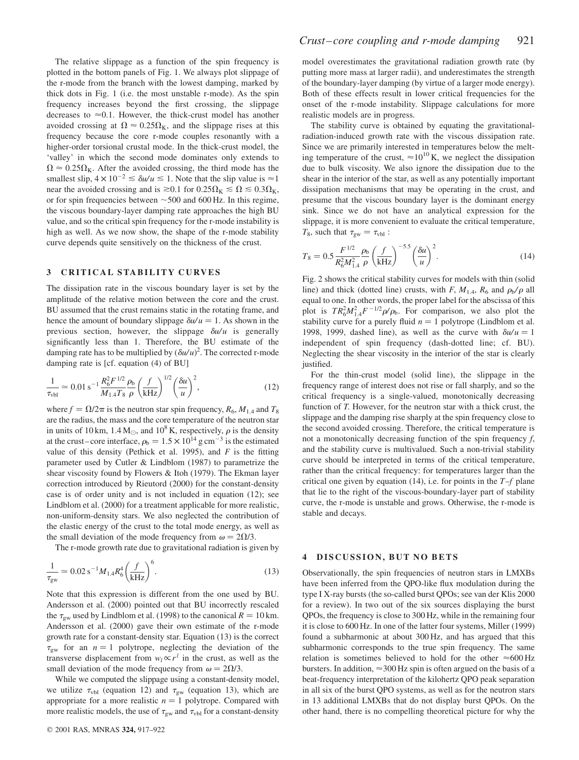The relative slippage as a function of the spin frequency is plotted in the bottom panels of Fig. 1. We always plot slippage of the r-mode from the branch with the lowest damping, marked by thick dots in Fig. 1 (i.e. the most unstable r-mode). As the spin frequency increases beyond the first crossing, the slippage decreases to  $\approx$  0.1. However, the thick-crust model has another avoided crossing at  $\Omega \approx 0.25 \Omega_{\rm K}$ , and the slippage rises at this frequency because the core r-mode couples resonantly with a higher-order torsional crustal mode. In the thick-crust model, the 'valley' in which the second mode dominates only extends to  $\Omega \approx 0.25 \Omega_{\rm K}$ . After the avoided crossing, the third mode has the smallest slip,  $4 \times 10^{-2} \le \delta u/u \le 1$ . Note that the slip value is  $\approx 1$ near the avoided crossing and is  $\gtrsim 0.1$  for  $0.25\Omega_{\rm K} \lesssim \Omega \lesssim 0.3\Omega_{\rm K}$ , or for spin frequencies between  $\sim$  500 and 600 Hz. In this regime, the viscous boundary-layer damping rate approaches the high BU value, and so the critical spin frequency for the r-mode instability is high as well. As we now show, the shape of the r-mode stability curve depends quite sensitively on the thickness of the crust.

#### 3 CRITICAL STABILITY CURVES

The dissipation rate in the viscous boundary layer is set by the amplitude of the relative motion between the core and the crust. BU assumed that the crust remains static in the rotating frame, and hence the amount of boundary slippage  $\delta u/u = 1$ . As shown in the previous section, however, the slippage  $\delta u/u$  is generally significantly less than 1. Therefore, the BU estimate of the damping rate has to be multiplied by  $(\delta u/u)^2$ . The corrected r-mode damping rate is [cf. equation (4) of BU]

$$
\frac{1}{\tau_{\text{vbl}}} \simeq 0.01 \,\text{s}^{-1} \frac{R_6^2 F^{1/2}}{M_{1.4} T_8} \frac{\rho_\text{b}}{\rho} \left(\frac{f}{\text{kHz}}\right)^{1/2} \left(\frac{\delta u}{u}\right)^2,\tag{12}
$$

where  $f = \Omega/2\pi$  is the neutron star spin frequency,  $R_6$ ,  $M_{1.4}$  and  $T_8$ are the radius, the mass and the core temperature of the neutron star in units of 10 km,  $1.4 M_{\odot}$ , and  $10^8$  K, respectively,  $\rho$  is the density at the crust–core interface,  $\rho_b = 1.5 \times 10^{14} \text{ g cm}^{-3}$  is the estimated value of this density (Pethick et al. 1995), and  $F$  is the fitting parameter used by Cutler & Lindblom (1987) to parametrize the shear viscosity found by Flowers & Itoh (1979). The Ekman layer correction introduced by Rieutord (2000) for the constant-density case is of order unity and is not included in equation (12); see Lindblom et al. (2000) for a treatment applicable for more realistic, non-uniform-density stars. We also neglected the contribution of the elastic energy of the crust to the total mode energy, as well as the small deviation of the mode frequency from  $\omega = 2\Omega/3$ .

The r-mode growth rate due to gravitational radiation is given by

$$
\frac{1}{\tau_{\rm gw}} \simeq 0.02 \,\mathrm{s}^{-1} M_{1.4} R_6^4 \bigg(\frac{f}{\mathrm{kHz}}\bigg)^6. \tag{13}
$$

Note that this expression is different from the one used by BU. Andersson et al. (2000) pointed out that BU incorrectly rescaled the  $\tau_{\text{sw}}$  used by Lindblom et al. (1998) to the canonical  $R = 10$  km. Andersson et al. (2000) gave their own estimate of the r-mode growth rate for a constant-density star. Equation (13) is the correct  $\tau_{gw}$  for an  $n = 1$  polytrope, neglecting the deviation of the transverse displacement from  $w_l \propto r^l$  in the crust, as well as the small deviation of the mode frequency from  $\omega = 2\Omega/3$ .

While we computed the slippage using a constant-density model, we utilize  $\tau_{\text{vbl}}$  (equation 12) and  $\tau_{\text{gw}}$  (equation 13), which are appropriate for a more realistic  $n = 1$  polytrope. Compared with more realistic models, the use of  $\tau_{gw}$  and  $\tau_{vbl}$  for a constant-density

model overestimates the gravitational radiation growth rate (by putting more mass at larger radii), and underestimates the strength of the boundary-layer damping (by virtue of a larger mode energy). Both of these effects result in lower critical frequencies for the onset of the r-mode instability. Slippage calculations for more realistic models are in progress.

The stability curve is obtained by equating the gravitationalradiation-induced growth rate with the viscous dissipation rate. Since we are primarily interested in temperatures below the melting temperature of the crust,  $\approx 10^{10}$  K, we neglect the dissipation due to bulk viscosity. We also ignore the dissipation due to the shear in the interior of the star, as well as any potentially important dissipation mechanisms that may be operating in the crust, and presume that the viscous boundary layer is the dominant energy sink. Since we do not have an analytical expression for the slippage, it is more convenient to evaluate the critical temperature,  $T_8$ , such that  $\tau_{gw} = \tau_{vbl}$ :

$$
T_8 = 0.5 \frac{F^{1/2}}{R_6^2 M_{1.4}^2} \frac{\rho_b}{\rho} \left(\frac{f}{\text{kHz}}\right)^{-5.5} \left(\frac{\delta u}{u}\right)^2.
$$
 (14)

Fig. 2 shows the critical stability curves for models with thin (solid line) and thick (dotted line) crusts, with F,  $M_{1.4}$ ,  $R_6$  and  $\rho_b/\rho$  all equal to one. In other words, the proper label for the abscissa of this plot is  $TR_6^2M_{1.4}^2F^{-1/2}\rho/\rho_b$ . For comparison, we also plot the stability curve for a purely fluid  $n = 1$  polytrope (Lindblom et al. 1998, 1999, dashed line), as well as the curve with  $\delta u/u = 1$ independent of spin frequency (dash-dotted line; cf. BU). Neglecting the shear viscosity in the interior of the star is clearly justified.

For the thin-crust model (solid line), the slippage in the frequency range of interest does not rise or fall sharply, and so the critical frequency is a single-valued, monotonically decreasing function of T. However, for the neutron star with a thick crust, the slippage and the damping rise sharply at the spin frequency close to the second avoided crossing. Therefore, the critical temperature is not a monotonically decreasing function of the spin frequency  $f$ , and the stability curve is multivalued. Such a non-trivial stability curve should be interpreted in terms of the critical temperature, rather than the critical frequency: for temperatures larger than the critical one given by equation (14), i.e. for points in the  $T-f$  plane that lie to the right of the viscous-boundary-layer part of stability curve, the r-mode is unstable and grows. Otherwise, the r-mode is stable and decays.

## 4 DISCUSSION, BUT NO BETS

Observationally, the spin frequencies of neutron stars in LMXBs have been inferred from the QPO-like flux modulation during the type I X-ray bursts (the so-called burst QPOs; see van der Klis 2000 for a review). In two out of the six sources displaying the burst QPOs, the frequency is close to 300 Hz, while in the remaining four it is close to 600 Hz. In one of the latter four systems, Miller (1999) found a subharmonic at about 300 Hz, and has argued that this subharmonic corresponds to the true spin frequency. The same relation is sometimes believed to hold for the other  $\approx 600 \text{ Hz}$ bursters. In addition,  $\approx$  300 Hz spin is often argued on the basis of a beat-frequency interpretation of the kilohertz QPO peak separation in all six of the burst QPO systems, as well as for the neutron stars in 13 additional LMXBs that do not display burst QPOs. On the other hand, there is no compelling theoretical picture for why the